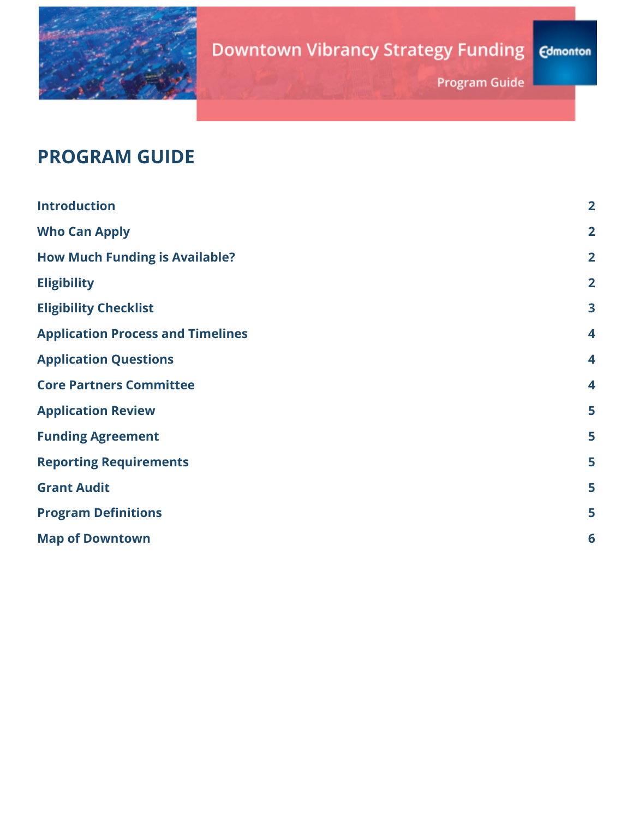

# **Downtown Vibrancy Strategy Funding**

**Edmonton** 

**Program Guide** 

## **PROGRAM GUIDE**

| <b>Introduction</b>                      | $\overline{2}$          |
|------------------------------------------|-------------------------|
| <b>Who Can Apply</b>                     | $\overline{2}$          |
| <b>How Much Funding is Available?</b>    | $\overline{2}$          |
| <b>Eligibility</b>                       | $\overline{2}$          |
| <b>Eligibility Checklist</b>             | $\overline{\mathbf{3}}$ |
| <b>Application Process and Timelines</b> | $\overline{\mathbf{4}}$ |
| <b>Application Questions</b>             | $\overline{\mathbf{4}}$ |
| <b>Core Partners Committee</b>           | $\overline{\mathbf{4}}$ |
| <b>Application Review</b>                | 5                       |
| <b>Funding Agreement</b>                 | 5                       |
| <b>Reporting Requirements</b>            | 5                       |
| <b>Grant Audit</b>                       | 5                       |
| <b>Program Definitions</b>               | 5                       |
| <b>Map of Downtown</b>                   | 6                       |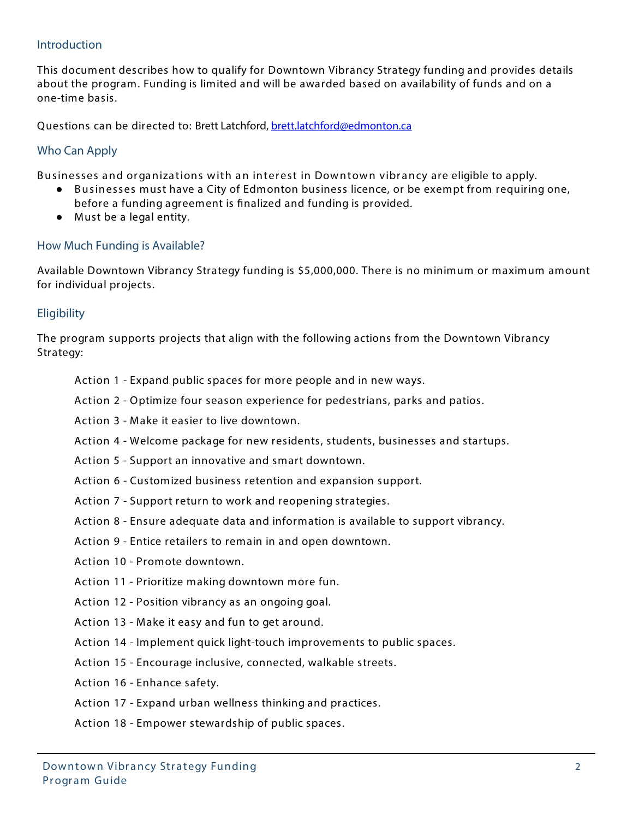#### **Introduction**

This document describes how to qualify for Downtown Vibrancy Strategy funding and provides details about the program. Funding is limited and will be awarded based on availability of funds and on a one-time basis.

Questions can be directed to: Brett Latchford, brett.latchford@edmonton.ca

#### **Who Can Apply**

**Businesses and organiza tions with an inter est in Downtown vibr ancy** are eligible to apply.

- **Businesses** must have a City of Edmonton business licence, or be exempt from requiring one,
- before a funding agreement is finalized and funding is provided.
- Must be a legal entity.

#### **How Much Funding is Available?**

Available Downtown Vibrancy Strategy funding is \$5,000,000. There is no minimum or maximum amount for individual projects.

#### **Eligibility**

The program supports projects that align with the following actions from the Downtown Vibrancy Strategy:

- **Action 1** Expand public spaces for more people and in new ways.
- **Action 2** Optimize four season experience for pedestrians, parks and patios.
- **Action 3** Make it easier to live downtown.
- **Action 4** Welcome package for new residents, students, businesses and startups.
- **Action 5** Support an innovative and smart downtown.
- **Action 6** Customized business retention and expansion support.
- **Action 7** Support return to work and reopening strategies.
- **Action 8** Ensure adequate data and information is available to support vibrancy.
- **Action 9** Entice retailers to remain in and open downtown.
- **Action 10** Promote downtown.
- **Action 11** Prioritize making downtown more fun.
- **Action 12** Position vibrancy as an ongoing goal.
- **Action 13** Make it easy and fun to get around.
- **Action 14** Implement quick light-touch improvements to public spaces.
- **Action 15** Encourage inclusive, connected, walkable streets.
- **Action 16** Enhance safety.
- **Action 17** Expand urban wellness thinking and practices.
- **Action 18** Empower stewardship of public spaces.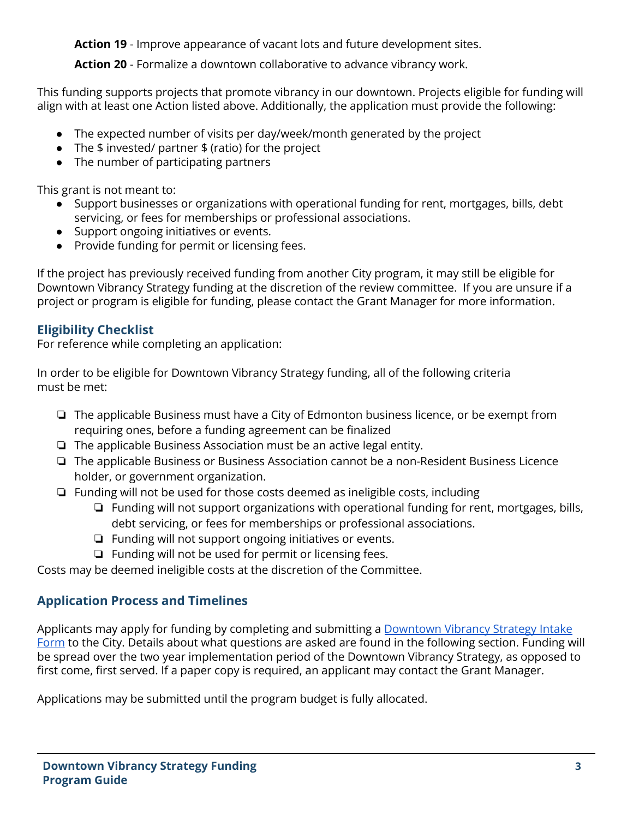**Action 19** - Improve appearance of vacant lots and future development sites.

**Action 20** - Formalize a downtown collaborative to advance vibrancy work.

This funding supports projects that promote vibrancy in our downtown. Projects eligible for funding will align with at least one Action listed above. Additionally, the application must provide the following:

- The expected number of visits per day/week/month generated by the project
- The \$ invested/ partner \$ (ratio) for the project
- The number of participating partners

This grant is not meant to:

- Support businesses or organizations with operational funding for rent, mortgages, bills, debt servicing, or fees for memberships or professional associations.
- Support ongoing initiatives or events.
- Provide funding for permit or licensing fees.

If the project has previously received funding from another City program, it may still be eligible for Downtown Vibrancy Strategy funding at the discretion of the review committee. If you are unsure if a project or program is eligible for funding, please contact the Grant Manager for more information.

## **Eligibility Checklist**

For reference while completing an application:

In order to be eligible for Downtown Vibrancy Strategy funding, all of the following criteria must be met:

- ❏ The applicable Business must have a City of Edmonton business licence, or be exempt from requiring ones, before a funding agreement can be finalized
- ❏ The applicable Business Association must be an active legal entity.
- ❏ The applicable Business or Business Association cannot be a non-Resident Business Licence holder, or government organization.
- ❏ Funding will not be used for those costs deemed as ineligible costs, including
	- ❏ Funding will not support organizations with operational funding for rent, mortgages, bills, debt servicing, or fees for memberships or professional associations.
	- ❏ Funding will not support ongoing initiatives or events.
	- ❏ Funding will not be used for permit or licensing fees.

Costs may be deemed ineligible costs at the discretion of the Committee.

## **Application Process and Timelines**

Applicants may apply for funding by completing and submitting a [Downtown](https://docs.google.com/forms/d/e/1FAIpQLSc9bEbgSN9ufwTeT6FiQBBb5QQPB1XIZ2QIKaHRT-B7Z9BIKg/viewform?usp=sf_link) Vibrancy Strategy Intake [Form](https://docs.google.com/forms/d/e/1FAIpQLSc9bEbgSN9ufwTeT6FiQBBb5QQPB1XIZ2QIKaHRT-B7Z9BIKg/viewform?usp=sf_link) to the City. Details about what questions are asked are found in the following section. Funding will be spread over the two year implementation period of the Downtown Vibrancy Strategy, as opposed to first come, first served. If a paper copy is required, an applicant may contact the Grant Manager.

Applications may be submitted until the program budget is fully allocated.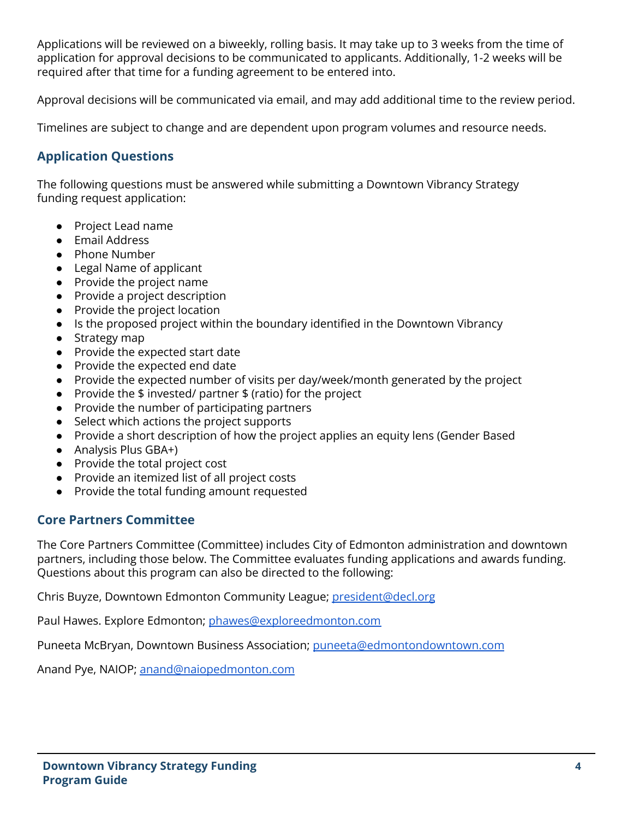Applications will be reviewed on a biweekly, rolling basis. It may take up to 3 weeks from the time of application for approval decisions to be communicated to applicants. Additionally, 1-2 weeks will be required after that time for a funding agreement to be entered into.

Approval decisions will be communicated via email, and may add additional time to the review period.

Timelines are subject to change and are dependent upon program volumes and resource needs.

#### **Application Questions**

The following questions must be answered while submitting a Downtown Vibrancy Strategy funding request application:

- Project Lead name
- Email Address
- Phone Number
- Legal Name of applicant
- Provide the project name
- Provide a project description
- Provide the project location
- Is the proposed project within the boundary identified in the Downtown Vibrancy
- Strategy map
- Provide the expected start date
- Provide the expected end date
- Provide the expected number of visits per day/week/month generated by the project
- Provide the  $$$  invested/ partner  $$$  (ratio) for the project
- Provide the number of participating partners
- Select which actions the project supports
- Provide a short description of how the project applies an equity lens (Gender Based
- Analysis Plus GBA+)
- Provide the total project cost
- Provide an itemized list of all project costs
- Provide the total funding amount requested

#### **Core Partners Committee**

The Core Partners Committee (Committee) includes City of Edmonton administration and downtown partners, including those below. The Committee evaluates funding applications and awards funding. Questions about this program can also be directed to the following:

Chris Buyze, Downtown Edmonton Community League; [president@decl.org](mailto:president@decl.org)

Paul Hawes. Explore Edmonton; [phawes@exploreedmonton.com](mailto:phawes@exploreedmonton.com)

Puneeta McBryan, Downtown Business Association; [puneeta@edmontondowntown.com](mailto:puneeta@edmontondowntown.com)

Anand Pye, NAIOP; [anand@naiopedmonton.com](mailto:anand@naiopedmonton.com)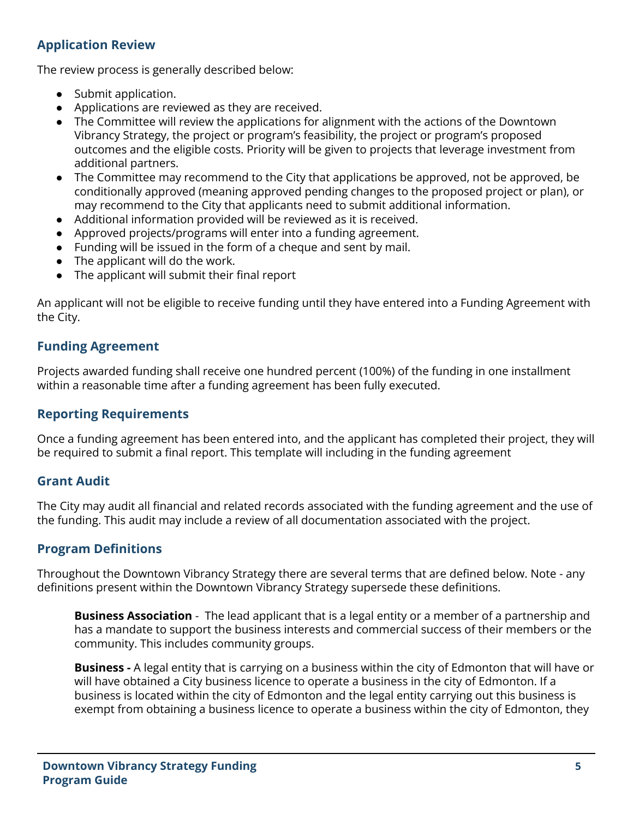## **Application Review**

The review process is generally described below:

- Submit application.
- Applications are reviewed as they are received.
- The Committee will review the applications for alignment with the actions of the Downtown Vibrancy Strategy, the project or program's feasibility, the project or program's proposed outcomes and the eligible costs. Priority will be given to projects that leverage investment from additional partners.
- The Committee may recommend to the City that applications be approved, not be approved, be conditionally approved (meaning approved pending changes to the proposed project or plan), or may recommend to the City that applicants need to submit additional information.
- Additional information provided will be reviewed as it is received.
- Approved projects/programs will enter into a funding agreement.
- Funding will be issued in the form of a cheque and sent by mail.
- The applicant will do the work.
- The applicant will submit their final report

An applicant will not be eligible to receive funding until they have entered into a Funding Agreement with the City.

### **Funding Agreement**

Projects awarded funding shall receive one hundred percent (100%) of the funding in one installment within a reasonable time after a funding agreement has been fully executed.

### **Reporting Requirements**

Once a funding agreement has been entered into, and the applicant has completed their project, they will be required to submit a final report. This template will including in the funding agreement

#### **Grant Audit**

The City may audit all financial and related records associated with the funding agreement and the use of the funding. This audit may include a review of all documentation associated with the project.

#### **Program Definitions**

Throughout the Downtown Vibrancy Strategy there are several terms that are defined below. Note - any definitions present within the Downtown Vibrancy Strategy supersede these definitions.

**Business Association** - The lead applicant that is a legal entity or a member of a partnership and has a mandate to support the business interests and commercial success of their members or the community. This includes community groups.

**Business -** A legal entity that is carrying on a business within the city of Edmonton that will have or will have obtained a City business licence to operate a business in the city of Edmonton. If a business is located within the city of Edmonton and the legal entity carrying out this business is exempt from obtaining a business licence to operate a business within the city of Edmonton, they